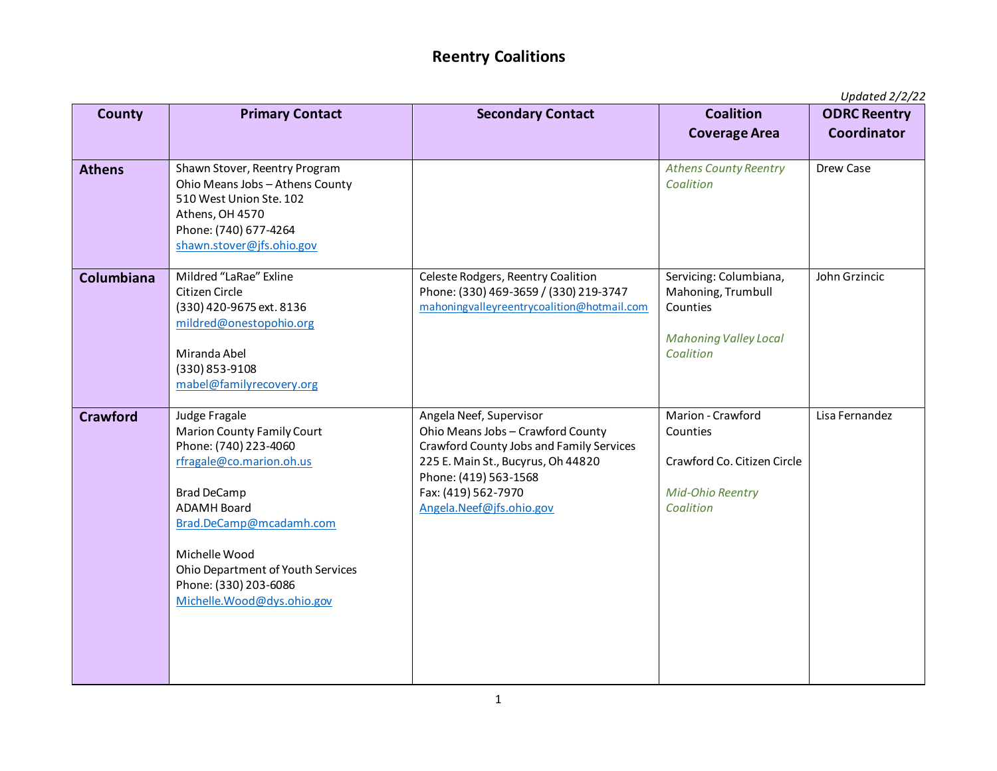## **Reentry Coalitions**

*Updated 2/2/22*

| <b>County</b>   | <b>Primary Contact</b>                                                                                                                                                                                                                                                                      | <b>Secondary Contact</b>                                                                                                                                                                                                   | <b>Coalition</b><br><b>Coverage Area</b>                                                              | $2p$ <i>aatod <math>2p</math> <math>-</math></i><br><b>ODRC Reentry</b><br>Coordinator |
|-----------------|---------------------------------------------------------------------------------------------------------------------------------------------------------------------------------------------------------------------------------------------------------------------------------------------|----------------------------------------------------------------------------------------------------------------------------------------------------------------------------------------------------------------------------|-------------------------------------------------------------------------------------------------------|----------------------------------------------------------------------------------------|
| <b>Athens</b>   | Shawn Stover, Reentry Program<br>Ohio Means Jobs - Athens County<br>510 West Union Ste. 102<br>Athens, OH 4570<br>Phone: (740) 677-4264<br>shawn.stover@jfs.ohio.gov                                                                                                                        |                                                                                                                                                                                                                            | <b>Athens County Reentry</b><br>Coalition                                                             | Drew Case                                                                              |
| Columbiana      | Mildred "LaRae" Exline<br>Citizen Circle<br>(330) 420-9675 ext. 8136<br>mildred@onestopohio.org<br>Miranda Abel<br>(330) 853-9108<br>mabel@familyrecovery.org                                                                                                                               | Celeste Rodgers, Reentry Coalition<br>Phone: (330) 469-3659 / (330) 219-3747<br>mahoningvalleyreentrycoalition@hotmail.com                                                                                                 | Servicing: Columbiana,<br>Mahoning, Trumbull<br>Counties<br><b>Mahoning Valley Local</b><br>Coalition | John Grzincic                                                                          |
| <b>Crawford</b> | Judge Fragale<br><b>Marion County Family Court</b><br>Phone: (740) 223-4060<br>rfragale@co.marion.oh.us<br><b>Brad DeCamp</b><br><b>ADAMH Board</b><br>Brad.DeCamp@mcadamh.com<br>Michelle Wood<br>Ohio Department of Youth Services<br>Phone: (330) 203-6086<br>Michelle.Wood@dys.ohio.gov | Angela Neef, Supervisor<br>Ohio Means Jobs - Crawford County<br>Crawford County Jobs and Family Services<br>225 E. Main St., Bucyrus, Oh 44820<br>Phone: (419) 563-1568<br>Fax: (419) 562-7970<br>Angela.Neef@jfs.ohio.gov | Marion - Crawford<br>Counties<br>Crawford Co. Citizen Circle<br><b>Mid-Ohio Reentry</b><br>Coalition  | Lisa Fernandez                                                                         |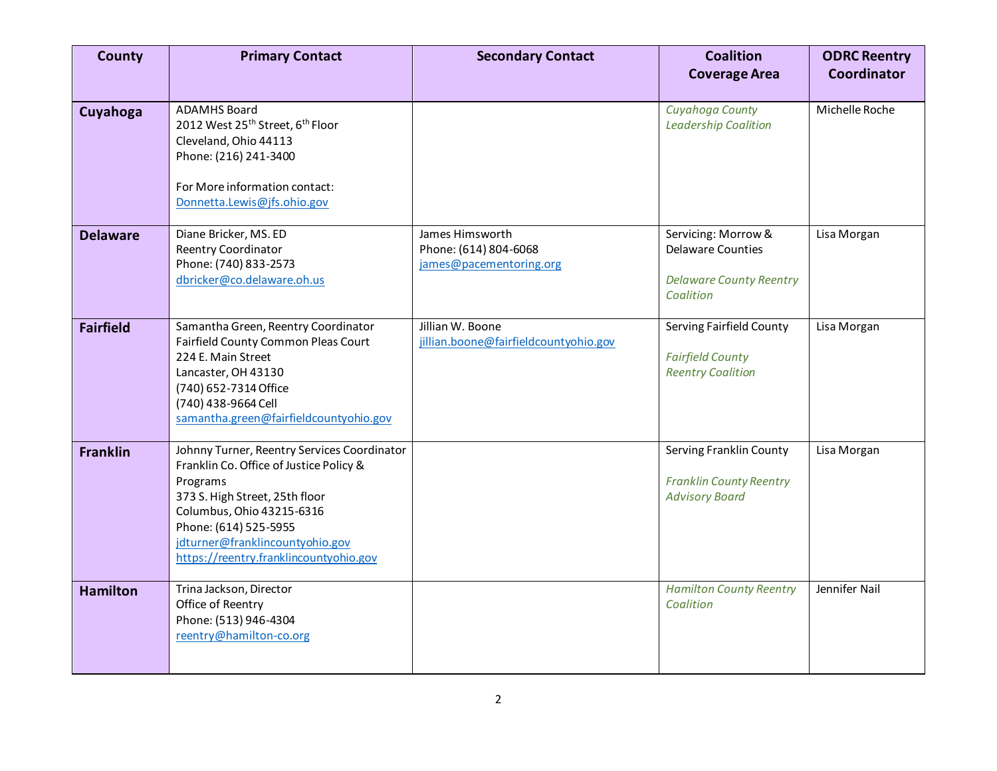| <b>County</b>    | <b>Primary Contact</b>                                                                                                                                                                                                                                                  | <b>Secondary Contact</b>                                            | <b>Coalition</b><br><b>Coverage Area</b>                                                       | <b>ODRC Reentry</b><br>Coordinator |
|------------------|-------------------------------------------------------------------------------------------------------------------------------------------------------------------------------------------------------------------------------------------------------------------------|---------------------------------------------------------------------|------------------------------------------------------------------------------------------------|------------------------------------|
| Cuyahoga         | <b>ADAMHS Board</b><br>2012 West 25 <sup>th</sup> Street, 6 <sup>th</sup> Floor<br>Cleveland, Ohio 44113<br>Phone: (216) 241-3400<br>For More information contact:<br>Donnetta.Lewis@jfs.ohio.gov                                                                       |                                                                     | Cuyahoga County<br><b>Leadership Coalition</b>                                                 | Michelle Roche                     |
| <b>Delaware</b>  | Diane Bricker, MS. ED<br><b>Reentry Coordinator</b><br>Phone: (740) 833-2573<br>dbricker@co.delaware.oh.us                                                                                                                                                              | James Himsworth<br>Phone: (614) 804-6068<br>james@pacementoring.org | Servicing: Morrow &<br><b>Delaware Counties</b><br><b>Delaware County Reentry</b><br>Coalition | Lisa Morgan                        |
| <b>Fairfield</b> | Samantha Green, Reentry Coordinator<br>Fairfield County Common Pleas Court<br>224 E. Main Street<br>Lancaster, OH 43130<br>(740) 652-7314 Office<br>(740) 438-9664 Cell<br>samantha.green@fairfieldcountyohio.gov                                                       | Jillian W. Boone<br>jillian.boone@fairfieldcountyohio.gov           | Serving Fairfield County<br><b>Fairfield County</b><br><b>Reentry Coalition</b>                | Lisa Morgan                        |
| <b>Franklin</b>  | Johnny Turner, Reentry Services Coordinator<br>Franklin Co. Office of Justice Policy &<br>Programs<br>373 S. High Street, 25th floor<br>Columbus, Ohio 43215-6316<br>Phone: (614) 525-5955<br>jdturner@franklincountyohio.gov<br>https://reentry.franklincountyohio.gov |                                                                     | Serving Franklin County<br><b>Franklin County Reentry</b><br><b>Advisory Board</b>             | Lisa Morgan                        |
| <b>Hamilton</b>  | Trina Jackson, Director<br>Office of Reentry<br>Phone: (513) 946-4304<br>reentry@hamilton-co.org                                                                                                                                                                        |                                                                     | <b>Hamilton County Reentry</b><br>Coalition                                                    | Jennifer Nail                      |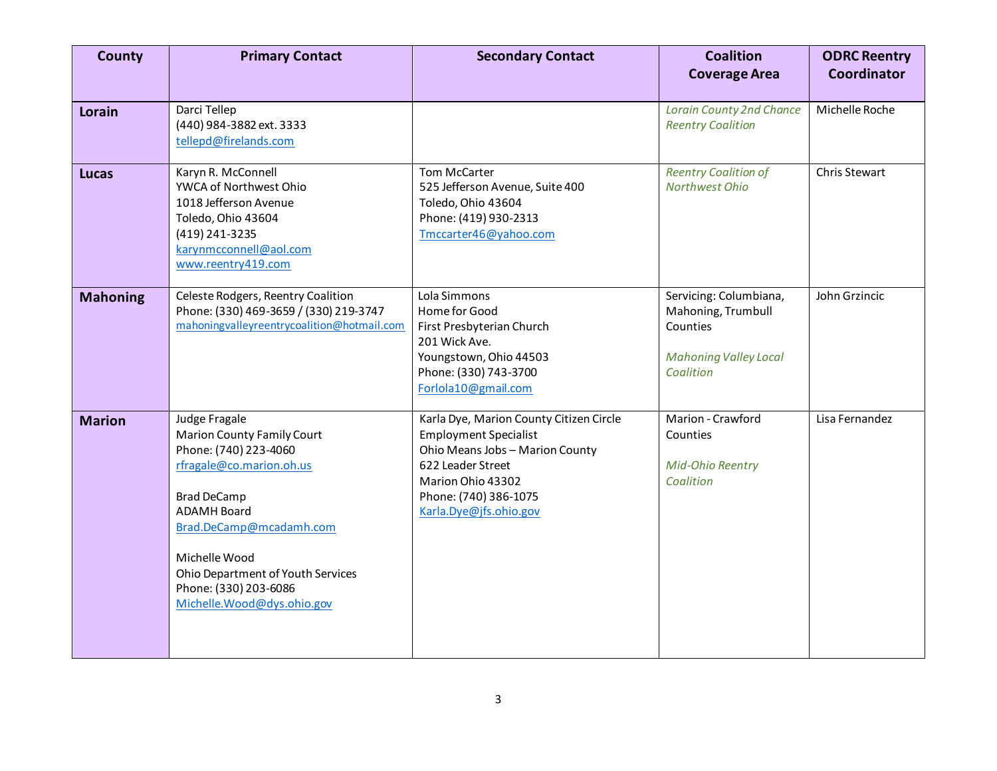| <b>County</b>   | <b>Primary Contact</b>                                                                                                                                                                                                                                                                      | <b>Secondary Contact</b>                                                                                                                                                                                | <b>Coalition</b><br><b>Coverage Area</b>                                                              | <b>ODRC Reentry</b><br><b>Coordinator</b> |
|-----------------|---------------------------------------------------------------------------------------------------------------------------------------------------------------------------------------------------------------------------------------------------------------------------------------------|---------------------------------------------------------------------------------------------------------------------------------------------------------------------------------------------------------|-------------------------------------------------------------------------------------------------------|-------------------------------------------|
| <b>Lorain</b>   | Darci Tellep<br>(440) 984-3882 ext. 3333<br>tellepd@firelands.com                                                                                                                                                                                                                           |                                                                                                                                                                                                         | <b>Lorain County 2nd Chance</b><br><b>Reentry Coalition</b>                                           | Michelle Roche                            |
| <b>Lucas</b>    | Karyn R. McConnell<br>YWCA of Northwest Ohio<br>1018 Jefferson Avenue<br>Toledo, Ohio 43604<br>(419) 241-3235<br>karynmcconnell@aol.com<br>www.reentry419.com                                                                                                                               | Tom McCarter<br>525 Jefferson Avenue, Suite 400<br>Toledo, Ohio 43604<br>Phone: (419) 930-2313<br>Tmccarter46@yahoo.com                                                                                 | <b>Reentry Coalition of</b><br>Northwest Ohio                                                         | Chris Stewart                             |
| <b>Mahoning</b> | Celeste Rodgers, Reentry Coalition<br>Phone: (330) 469-3659 / (330) 219-3747<br>mahoningvalleyreentrycoalition@hotmail.com                                                                                                                                                                  | Lola Simmons<br>Home for Good<br>First Presbyterian Church<br>201 Wick Ave.<br>Youngstown, Ohio 44503<br>Phone: (330) 743-3700<br>Forlola10@gmail.com                                                   | Servicing: Columbiana,<br>Mahoning, Trumbull<br>Counties<br><b>Mahoning Valley Local</b><br>Coalition | John Grzincic                             |
| <b>Marion</b>   | Judge Fragale<br><b>Marion County Family Court</b><br>Phone: (740) 223-4060<br>rfragale@co.marion.oh.us<br><b>Brad DeCamp</b><br><b>ADAMH Board</b><br>Brad.DeCamp@mcadamh.com<br>Michelle Wood<br>Ohio Department of Youth Services<br>Phone: (330) 203-6086<br>Michelle.Wood@dys.ohio.gov | Karla Dye, Marion County Citizen Circle<br><b>Employment Specialist</b><br>Ohio Means Jobs - Marion County<br>622 Leader Street<br>Marion Ohio 43302<br>Phone: (740) 386-1075<br>Karla.Dye@jfs.ohio.gov | Marion - Crawford<br>Counties<br><b>Mid-Ohio Reentry</b><br>Coalition                                 | Lisa Fernandez                            |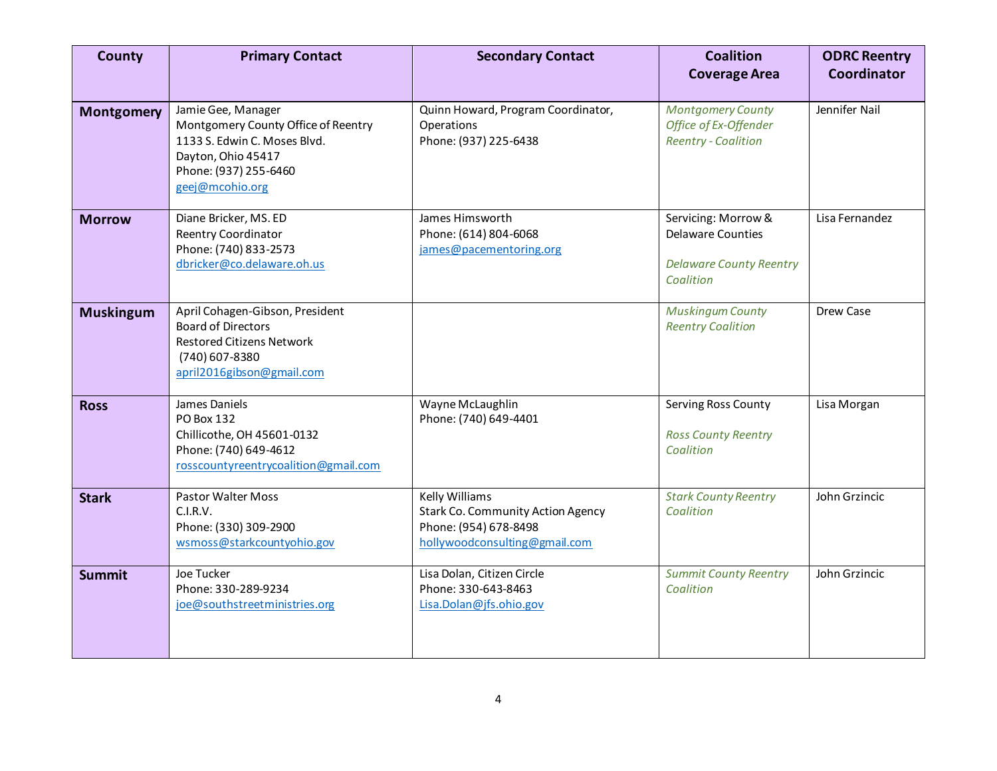| <b>County</b>     | <b>Primary Contact</b>                                                                                                                                      | <b>Secondary Contact</b>                                                                                                    | <b>Coalition</b><br><b>Coverage Area</b>                                                       | <b>ODRC Reentry</b><br><b>Coordinator</b> |
|-------------------|-------------------------------------------------------------------------------------------------------------------------------------------------------------|-----------------------------------------------------------------------------------------------------------------------------|------------------------------------------------------------------------------------------------|-------------------------------------------|
| <b>Montgomery</b> | Jamie Gee, Manager<br>Montgomery County Office of Reentry<br>1133 S. Edwin C. Moses Blvd.<br>Dayton, Ohio 45417<br>Phone: (937) 255-6460<br>geej@mcohio.org | Quinn Howard, Program Coordinator,<br>Operations<br>Phone: (937) 225-6438                                                   | <b>Montgomery County</b><br>Office of Ex-Offender<br><b>Reentry - Coalition</b>                | Jennifer Nail                             |
| <b>Morrow</b>     | Diane Bricker, MS. ED<br>Reentry Coordinator<br>Phone: (740) 833-2573<br>dbricker@co.delaware.oh.us                                                         | James Himsworth<br>Phone: (614) 804-6068<br>james@pacementoring.org                                                         | Servicing: Morrow &<br><b>Delaware Counties</b><br><b>Delaware County Reentry</b><br>Coalition | Lisa Fernandez                            |
| <b>Muskingum</b>  | April Cohagen-Gibson, President<br><b>Board of Directors</b><br><b>Restored Citizens Network</b><br>(740) 607-8380<br>april2016gibson@gmail.com             |                                                                                                                             | <b>Muskingum County</b><br><b>Reentry Coalition</b>                                            | Drew Case                                 |
| <b>Ross</b>       | James Daniels<br>PO Box 132<br>Chillicothe, OH 45601-0132<br>Phone: (740) 649-4612<br>rosscountyreentrycoalition@gmail.com                                  | Wayne McLaughlin<br>Phone: (740) 649-4401                                                                                   | Serving Ross County<br><b>Ross County Reentry</b><br>Coalition                                 | Lisa Morgan                               |
| <b>Stark</b>      | <b>Pastor Walter Moss</b><br>C.I.R.V.<br>Phone: (330) 309-2900<br>wsmoss@starkcountyohio.gov                                                                | <b>Kelly Williams</b><br><b>Stark Co. Community Action Agency</b><br>Phone: (954) 678-8498<br>hollywoodconsulting@gmail.com | <b>Stark County Reentry</b><br>Coalition                                                       | John Grzincic                             |
| <b>Summit</b>     | Joe Tucker<br>Phone: 330-289-9234<br>joe@southstreetministries.org                                                                                          | Lisa Dolan, Citizen Circle<br>Phone: 330-643-8463<br>Lisa.Dolan@jfs.ohio.gov                                                | <b>Summit County Reentry</b><br>Coalition                                                      | John Grzincic                             |